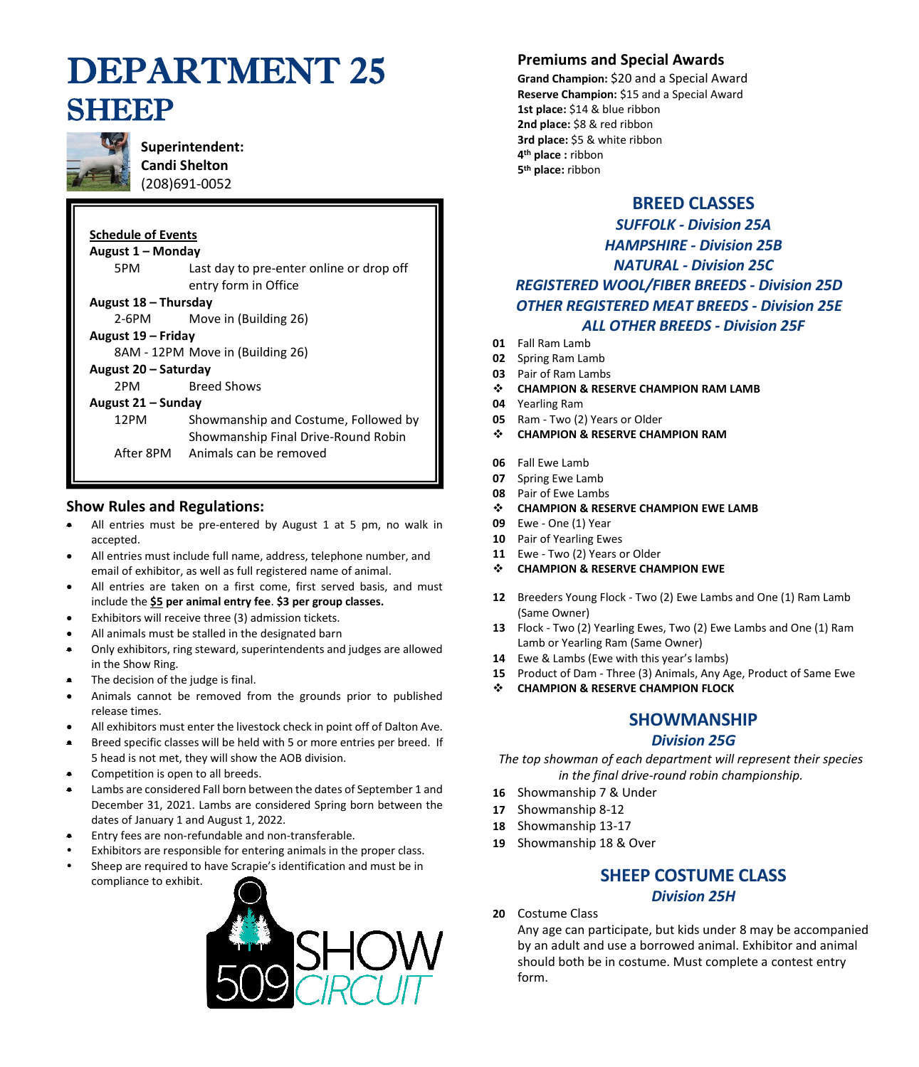# DEPARTMENT 25 **SHEEP**



**Superintendent: Candi Shelton** (208)691-0052

#### **Schedule of Events**

**August 1 – Monday** 5PM Last day to pre-enter online or drop off entry form in Office **August 18 – Thursday** 

2-6PM Move in (Building 26)

**August 19 – Friday** 

8AM - 12PM Move in (Building 26)

#### **August 20 – Saturday**

2PM Breed Shows

#### **August 21 – Sunday**

12PM Showmanship and Costume, Followed by Showmanship Final Drive-Round Robin After 8PM Animals can be removed

# **Show Rules and Regulations:**

- All entries must be pre-entered by August 1 at 5 pm, no walk in accepted.
- All entries must include full name, address, telephone number, and email of exhibitor, as well as full registered name of animal.
- All entries are taken on a first come, first served basis, and must include the **\$5 per animal entry fee**. **\$3 per group classes.**
- Exhibitors will receive three (3) admission tickets.
- All animals must be stalled in the designated barn
- Only exhibitors, ring steward, superintendents and judges are allowed in the Show Ring.
- The decision of the judge is final.
- Animals cannot be removed from the grounds prior to published release times.
- All exhibitors must enter the livestock check in point off of Dalton Ave.
- Breed specific classes will be held with 5 or more entries per breed. If 5 head is not met, they will show the AOB division.
- Competition is open to all breeds.
- Lambs are considered Fall born between the dates of September 1 and December 31, 2021. Lambs are considered Spring born between the dates of January 1 and August 1, 2022.
- Entry fees are non-refundable and non-transferable.
- Exhibitors are responsible for entering animals in the proper class.
- Sheep are required to have Scrapie's identification and must be in compliance to exhibit.



### **Premiums and Special Awards**

**Grand Champion:** \$20 and a Special Award **Reserve Champion:** \$15 and a Special Award **1st place:** \$14 & blue ribbon **2nd place:** \$8 & red ribbon **3rd place:** \$5 & white ribbon **4 th place :** ribbon **5 th place:** ribbon

### **BREED CLASSES**

# *SUFFOLK - Division 25A HAMPSHIRE - Division 25B NATURAL - Division 25C REGISTERED WOOL/FIBER BREEDS - Division 25D OTHER REGISTERED MEAT BREEDS - Division 25E ALL OTHER BREEDS - Division 25F*

- **01** Fall Ram Lamb
- **02** Spring Ram Lamb
- **03** Pair of Ram Lambs
- ❖ **CHAMPION & RESERVE CHAMPION RAM LAMB**
- **04** Yearling Ram
- **05** Ram Two (2) Years or Older
- ❖ **CHAMPION & RESERVE CHAMPION RAM**
- **06** Fall Ewe Lamb
- **07** Spring Ewe Lamb
- **08** Pair of Ewe Lambs
- ❖ **CHAMPION & RESERVE CHAMPION EWE LAMB**
- **09** Ewe One (1) Year
- **10** Pair of Yearling Ewes
- **11** Ewe Two (2) Years or Older
- ❖ **CHAMPION & RESERVE CHAMPION EWE**
- **12** Breeders Young Flock Two (2) Ewe Lambs and One (1) Ram Lamb (Same Owner)
- **13** Flock Two (2) Yearling Ewes, Two (2) Ewe Lambs and One (1) Ram Lamb or Yearling Ram (Same Owner)
- **14** Ewe & Lambs (Ewe with this year's lambs)
- **15** Product of Dam Three (3) Animals, Any Age, Product of Same Ewe
- ❖ **CHAMPION & RESERVE CHAMPION FLOCK**

# **SHOWMANSHIP**

#### *Division 25G*

*The top showman of each department will represent their species in the final drive-round robin championship.*

- **16** Showmanship 7 & Under
- **17** Showmanship 8-12
- **18** Showmanship 13-17
- **19** Showmanship 18 & Over

# **SHEEP COSTUME CLASS**

#### *Division 25H*

**20** Costume Class

Any age can participate, but kids under 8 may be accompanied by an adult and use a borrowed animal. Exhibitor and animal should both be in costume. Must complete a contest entry form.